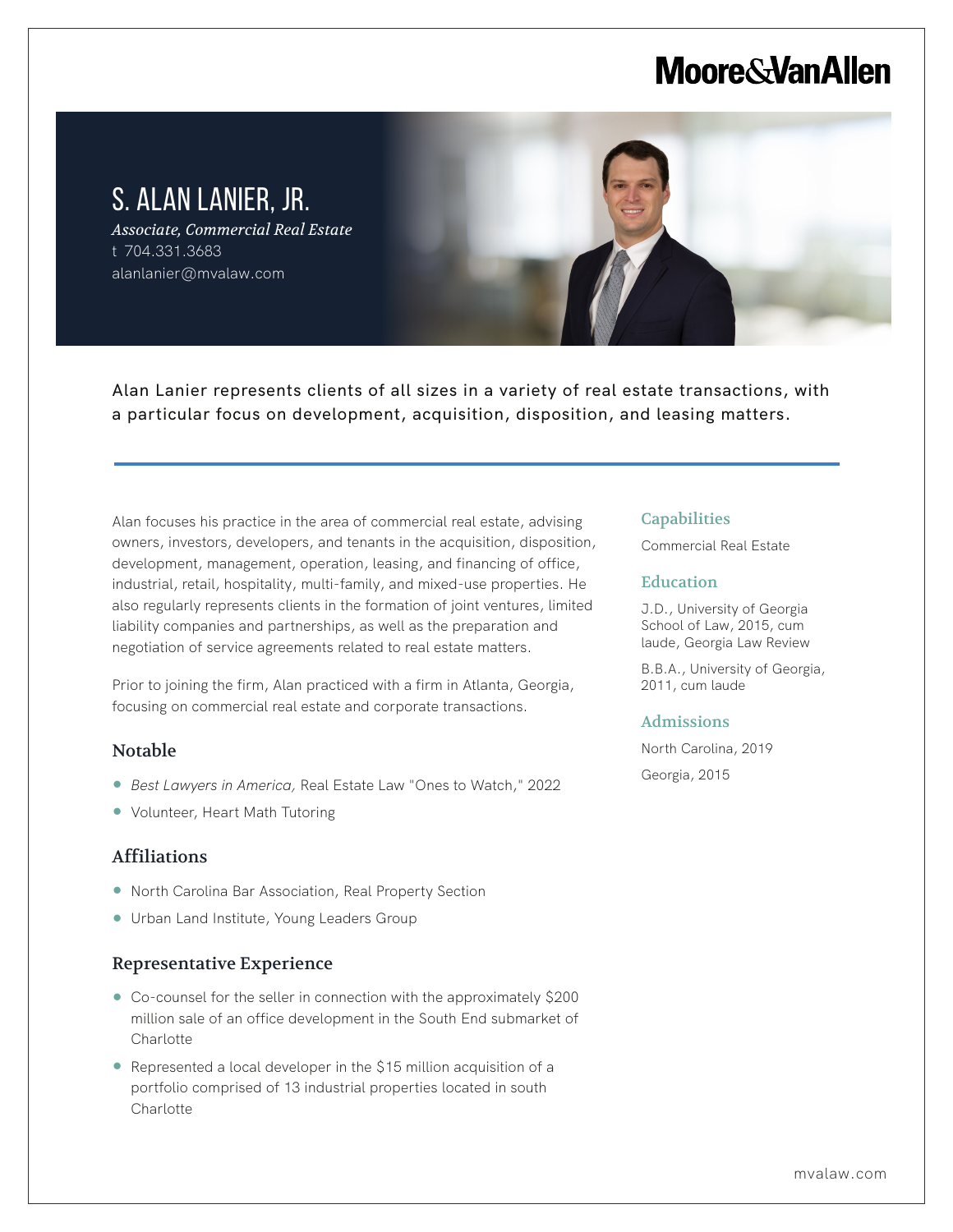# **Moore & Van Allen**

# S. ALAN LANIER, JR.

*Associate, Commercial Real Estate* t 704.331.3683 alanlanier@mvalaw.com

Alan Lanier represents clients of all sizes in a variety of real estate transactions, with a particular focus on development, acquisition, disposition, and leasing matters.

Alan focuses his practice in the area of commercial real estate, advising owners, investors, developers, and tenants in the acquisition, disposition, development, management, operation, leasing, and financing of office, industrial, retail, hospitality, multi-family, and mixed-use properties. He also regularly represents clients in the formation of joint ventures, limited liability companies and partnerships, as well as the preparation and negotiation of service agreements related to real estate matters.

Prior to joining the firm, Alan practiced with a firm in Atlanta, Georgia, focusing on commercial real estate and corporate transactions.

### Notable

L

- *Best Lawyers in America,* Real Estate Law "Ones to Watch," 2022
- Volunteer, Heart Math Tutoring

# Affiliations

- North Carolina Bar Association, Real Property Section
- Urban Land Institute, Young Leaders Group

### Representative Experience

- Co-counsel for the seller in connection with the approximately \$200 million sale of an office development in the South End submarket of **Charlotte**
- $\bullet$  Represented a local developer in the \$15 million acquisition of a portfolio comprised of 13 industrial properties located in south Charlotte

#### **Capabilities**

Commercial Real Estate

#### **Education**

J.D., University of Georgia School of Law, 2015, cum laude, Georgia Law Review

B.B.A., University of Georgia, 2011, cum laude

#### Admissions

North Carolina, 2019

Georgia, 2015